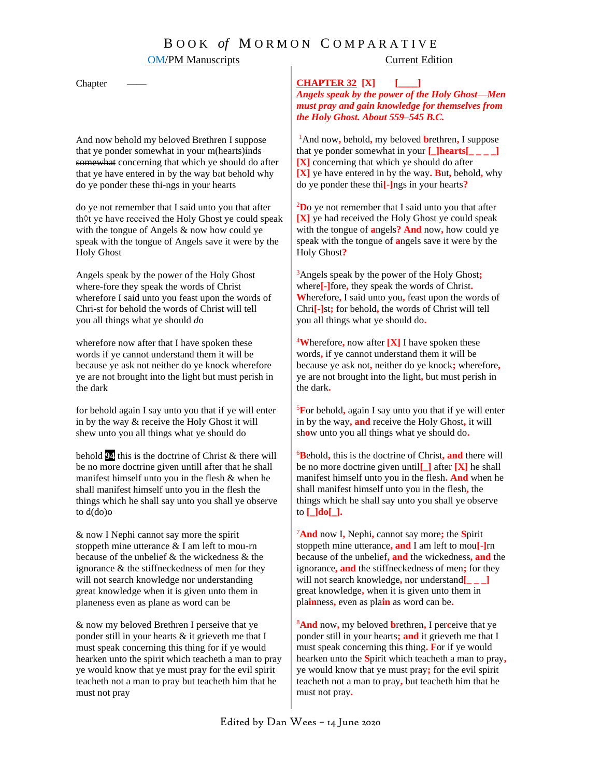# B O O K *of* M O R M O N C O M P A R A T I V E

### OM/PM Manuscripts Current Edition

Chapter

And now behold my bel*o*ved Brethren I suppose that ye ponder somewhat in your m(hearts)inds somewhat concerning that which ye should do after that ye have entered in by the way b*u*t behold why do ye ponder these thi-ngs in your hearts

do ye not remember that I said unto you that after th◊t ye have received the Holy Ghost ye could speak with the tongue of Angels & now how could ye speak with the tongue of Angels save it were by the Holy Ghost

Angels speak by the power of the Holy Ghost where-fore they speak the words of Christ wherefore I said unto you feast upon the words of Chri-st for behold the words of Christ will tell you all things what ye should *d*o

wherefore now after that I have spoken these words if ye cannot understand them it will be because ye ask not neither do ye knock wherefore ye are not brought into the light but must perish in the dark

for behold again I say unto you that if ye will enter in by the way & receive the Holy Ghost it will shew unto you all things what ye should do

behold **94** this is the doctrine of Christ & there will be no more doctrine given untill after that he shall manifest himself unto you in the flesh & when he shall manifest himself unto you in the flesh the things which he shall say unto you shall ye observe to  $d$ (do) $\Theta$ 

& now I Nephi cannot say more the spirit stoppeth mine utterance & I am left to mou-rn because of the unbelief & the wickedness & the ignorance & the stiffneckedness of men for they will not search knowledge nor understanding great knowledge when it is given unto them in planeness even as plane as word can be

& now my beloved Brethren I perseive that ye ponder still in your hearts & it grieveth me that I must speak concerning this thing for if ye would hearken unto the spirit which teacheth a man to pray ye would know that ye must pray for the evil spirit teacheth not a man to pray but teacheth him that he must not pray

**CHAPTER 32 [X] [\_\_\_\_]**

*Angels speak by the power of the Holy Ghost—Men must pray and gain knowledge for themselves from the Holy Ghost. About 559–545 B.C.*

<sup>1</sup>And now**,** behold**,** my beloved **b**rethren**,** I suppose that ye ponder somewhat in your  $\Box$ **hearts** $\Box$ **[X]** concerning that which ye should do after **[X]** ye have entered in by the way**. B**ut**,** behold**,** why do ye ponder these thi**[-]**ngs in your hearts**?**

<sup>2</sup>**D**o ye not remember that I said unto you that after **[X]** ye had received the Holy Ghost ye could speak with the tongue of **a**ngels**? And** now**,** how could ye speak with the tongue of **a**ngels save it were by the Holy Ghost**?**

<sup>3</sup>Angels speak by the power of the Holy Ghost**;** where**[-]**fore**,** they speak the words of Christ**. W**herefore**,** I said unto you**,** feast upon the words of Chri**[-]**st**;** for behold**,** the words of Christ will tell you all things what ye should do**.**

<sup>4</sup>**W**herefore**,** now after **[X]** I have spoken these words**,** if ye cannot understand them it will be because ye ask not**,** neither do ye knock**;** wherefore**,** ye are not brought into the light**,** but must perish in the dark**.**

<sup>5</sup>**F**or behold**,** again I say unto you that if ye will enter in by the way**, and** receive the Holy Ghost**,** it will sh**o**w unto you all things what ye should do**.**

<sup>6</sup>**B**ehold**,** this is the doctrine of Christ**, and** there will be no more doctrine given until**[\_]** after **[X]** he shall manifest himself unto you in the flesh**. And** when he shall manifest himself unto you in the flesh**,** the things which he shall say unto you shall ye observe to **[\_]do[\_].**

<sup>7</sup>**And** now I**,** Nephi**,** cannot say more**;** the **S**pirit stoppeth mine utterance**, and** I am left to mou**[-]**rn because of the unbelief**, and** the wickedness**, and** the ignorance**, and** the stiffneckedness of men**;** for they will not search knowledge**,** nor understand**[\_ \_ \_]** great knowledge**,** when it is given unto them in pla**in**ness**,** even as pla**in** as word can be**.**

<sup>8</sup>**And** now**,** my beloved **b**rethren**,** I per**c**eive that ye ponder still in your hearts**; and** it grieveth me that I must speak concerning this thing**. F**or if ye would hearken unto the **S**pirit which teacheth a man to pray**,** ye would know that ye must pray**;** for the evil spirit teacheth not a man to pray**,** but teacheth him that he must not pray**.**